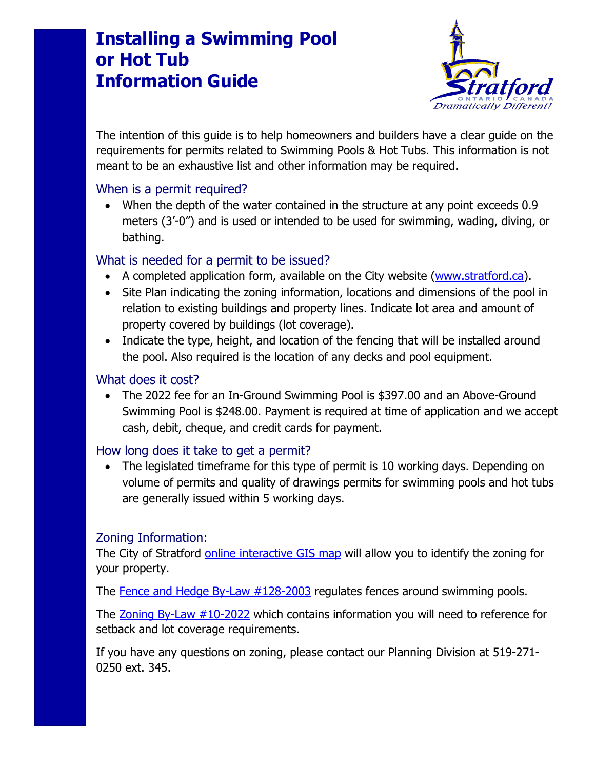# **Installing a Swimming Pool or Hot Tub Information Guide**



The intention of this guide is to help homeowners and builders have a clear guide on the requirements for permits related to Swimming Pools & Hot Tubs. This information is not meant to be an exhaustive list and other information may be required.

#### When is a permit required?

• When the depth of the water contained in the structure at any point exceeds 0.9 meters (3'-0") and is used or intended to be used for swimming, wading, diving, or bathing.

## What is needed for a permit to be issued?

- A completed application form, available on the City website [\(www.stratford.ca\)](http://www.stratford.ca/).
- Site Plan indicating the zoning information, locations and dimensions of the pool in relation to existing buildings and property lines. Indicate lot area and amount of property covered by buildings (lot coverage).
- Indicate the type, height, and location of the fencing that will be installed around the pool. Also required is the location of any decks and pool equipment.

### What does it cost?

• The 2022 fee for an In-Ground Swimming Pool is \$397.00 and an Above-Ground Swimming Pool is \$248.00. Payment is required at time of application and we accept cash, debit, cheque, and credit cards for payment.

#### How long does it take to get a permit?

• The legislated timeframe for this type of permit is 10 working days. Depending on volume of permits and quality of drawings permits for swimming pools and hot tubs are generally issued within 5 working days.

#### Zoning Information:

The City of Stratford [online interactive GIS map](https://maps.stratford.ca/public/) will allow you to identify the zoning for your property.

The [Fence and Hedge By-Law #128-2003](https://www.stratford.ca/en/inside-city-hall/commonlyaskedaboutbylaws.aspx#Fence-and-Hedge-128-2003-) regulates fences around swimming pools.

The [Zoning By-Law #10-2022](https://www.stratford.ca/en/inside-city-hall/planning.aspx#Comprehensive-Zoning-By-law) which contains information you will need to reference for setback and lot coverage requirements.

If you have any questions on zoning, please contact our Planning Division at 519-271- 0250 ext. 345.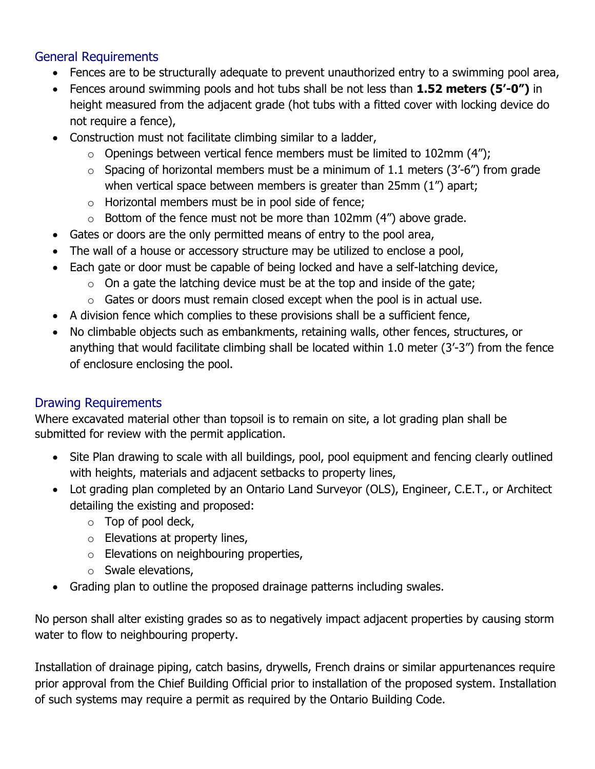## General Requirements

- Fences are to be structurally adequate to prevent unauthorized entry to a swimming pool area,
- Fences around swimming pools and hot tubs shall be not less than **1.52 meters (5'-0")** in height measured from the adjacent grade (hot tubs with a fitted cover with locking device do not require a fence),
- Construction must not facilitate climbing similar to a ladder,
	- $\circ$  Openings between vertical fence members must be limited to 102mm (4");
	- $\circ$  Spacing of horizontal members must be a minimum of 1.1 meters (3'-6") from grade when vertical space between members is greater than 25mm (1") apart;
	- $\circ$  Horizontal members must be in pool side of fence;
	- $\circ$  Bottom of the fence must not be more than 102mm (4") above grade.
- Gates or doors are the only permitted means of entry to the pool area,
- The wall of a house or accessory structure may be utilized to enclose a pool,
- Each gate or door must be capable of being locked and have a self-latching device,
	- $\circ$  On a gate the latching device must be at the top and inside of the gate;
	- $\circ$  Gates or doors must remain closed except when the pool is in actual use.
- A division fence which complies to these provisions shall be a sufficient fence,
- No climbable objects such as embankments, retaining walls, other fences, structures, or anything that would facilitate climbing shall be located within 1.0 meter (3'-3") from the fence of enclosure enclosing the pool.

## Drawing Requirements

Where excavated material other than topsoil is to remain on site, a lot grading plan shall be submitted for review with the permit application.

- Site Plan drawing to scale with all buildings, pool, pool equipment and fencing clearly outlined with heights, materials and adjacent setbacks to property lines,
- Lot grading plan completed by an Ontario Land Surveyor (OLS), Engineer, C.E.T., or Architect detailing the existing and proposed:
	- $\circ$  Top of pool deck,
	- $\circ$  Elevations at property lines,
	- o Elevations on neighbouring properties,
	- o Swale elevations,
- Grading plan to outline the proposed drainage patterns including swales.

No person shall alter existing grades so as to negatively impact adjacent properties by causing storm water to flow to neighbouring property.

Installation of drainage piping, catch basins, drywells, French drains or similar appurtenances require prior approval from the Chief Building Official prior to installation of the proposed system. Installation of such systems may require a permit as required by the Ontario Building Code.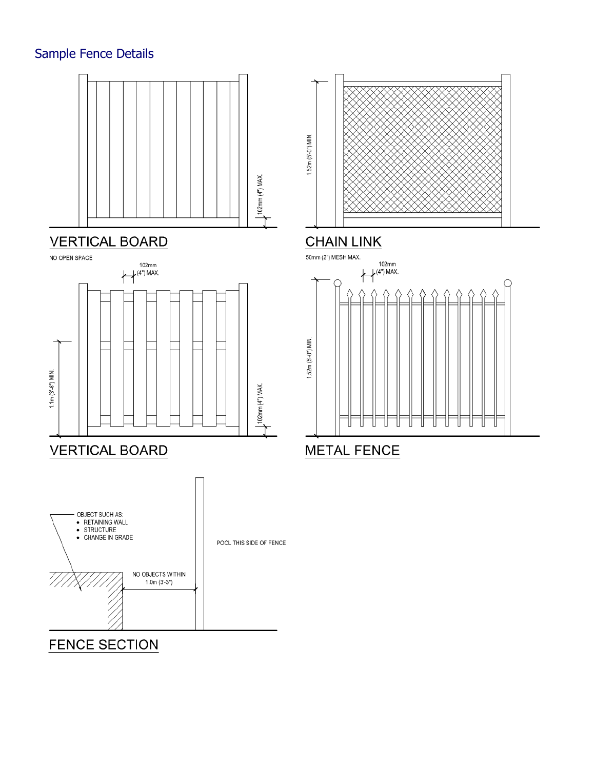# Sample Fence Details



# **VERTICAL BOARD**





1.52m (5'-0") MIN.

# **CHAIN LINK**



**FENCE SECTION**